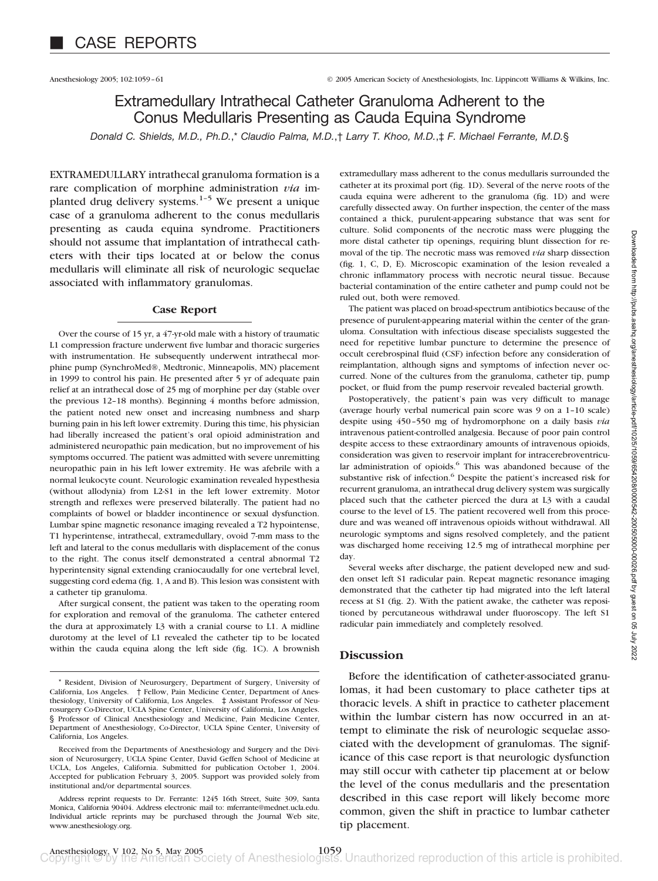Anesthesiology 2005; 102:1059–61 © 2005 American Society of Anesthesiologists, Inc. Lippincott Williams & Wilkins, Inc.

## Extramedullary Intrathecal Catheter Granuloma Adherent to the Conus Medullaris Presenting as Cauda Equina Syndrome

*Donald C. Shields, M.D., Ph.D.*,\* *Claudio Palma, M.D.*,† *Larry T. Khoo, M.D.*,‡ *F. Michael Ferrante, M.D.*§

EXTRAMEDULLARY intrathecal granuloma formation is a rare complication of morphine administration *via* implanted drug delivery systems.1–5 We present a unique case of a granuloma adherent to the conus medullaris presenting as cauda equina syndrome. Practitioners should not assume that implantation of intrathecal catheters with their tips located at or below the conus medullaris will eliminate all risk of neurologic sequelae associated with inflammatory granulomas.

### **Case Report**

Over the course of 15 yr, a 47-yr-old male with a history of traumatic L1 compression fracture underwent five lumbar and thoracic surgeries with instrumentation. He subsequently underwent intrathecal morphine pump (SynchroMed®, Medtronic, Minneapolis, MN) placement in 1999 to control his pain. He presented after 5 yr of adequate pain relief at an intrathecal dose of 25 mg of morphine per day (stable over the previous 12-18 months). Beginning 4 months before admission, the patient noted new onset and increasing numbness and sharp burning pain in his left lower extremity. During this time, his physician had liberally increased the patient's oral opioid administration and administered neuropathic pain medication, but no improvement of his symptoms occurred. The patient was admitted with severe unremitting neuropathic pain in his left lower extremity. He was afebrile with a normal leukocyte count. Neurologic examination revealed hypesthesia (without allodynia) from L2-S1 in the left lower extremity. Motor strength and reflexes were preserved bilaterally. The patient had no complaints of bowel or bladder incontinence or sexual dysfunction. Lumbar spine magnetic resonance imaging revealed a T2 hypointense, T1 hyperintense, intrathecal, extramedullary, ovoid 7-mm mass to the left and lateral to the conus medullaris with displacement of the conus to the right. The conus itself demonstrated a central abnormal T2 hyperintensity signal extending craniocaudally for one vertebral level, suggesting cord edema (fig. 1, A and B). This lesion was consistent with a catheter tip granuloma.

After surgical consent, the patient was taken to the operating room for exploration and removal of the granuloma. The catheter entered the dura at approximately L3 with a cranial course to L1. A midline durotomy at the level of L1 revealed the catheter tip to be located within the cauda equina along the left side (fig. 1C). A brownish extramedullary mass adherent to the conus medullaris surrounded the catheter at its proximal port (fig. 1D). Several of the nerve roots of the cauda equina were adherent to the granuloma (fig. 1D) and were carefully dissected away. On further inspection, the center of the mass contained a thick, purulent-appearing substance that was sent for culture. Solid components of the necrotic mass were plugging the more distal catheter tip openings, requiring blunt dissection for removal of the tip. The necrotic mass was removed *via* sharp dissection (fig. 1, C, D, E). Microscopic examination of the lesion revealed a chronic inflammatory process with necrotic neural tissue. Because bacterial contamination of the entire catheter and pump could not be ruled out, both were removed.

The patient was placed on broad-spectrum antibiotics because of the presence of purulent-appearing material within the center of the granuloma. Consultation with infectious disease specialists suggested the need for repetitive lumbar puncture to determine the presence of occult cerebrospinal fluid (CSF) infection before any consideration of reimplantation, although signs and symptoms of infection never occurred. None of the cultures from the granuloma, catheter tip, pump pocket, or fluid from the pump reservoir revealed bacterial growth.

Postoperatively, the patient's pain was very difficult to manage (average hourly verbal numerical pain score was 9 on a 1–10 scale) despite using 450–550 mg of hydromorphone on a daily basis *via* intravenous patient-controlled analgesia. Because of poor pain control despite access to these extraordinary amounts of intravenous opioids, consideration was given to reservoir implant for intracerebroventricular administration of opioids.<sup>6</sup> This was abandoned because of the substantive risk of infection.<sup>6</sup> Despite the patient's increased risk for recurrent granuloma, an intrathecal drug delivery system was surgically placed such that the catheter pierced the dura at L3 with a caudal course to the level of L5. The patient recovered well from this procedure and was weaned off intravenous opioids without withdrawal. All neurologic symptoms and signs resolved completely, and the patient was discharged home receiving 12.5 mg of intrathecal morphine per day.

Several weeks after discharge, the patient developed new and sudden onset left S1 radicular pain. Repeat magnetic resonance imaging demonstrated that the catheter tip had migrated into the left lateral recess at S1 (fig. 2). With the patient awake, the catheter was repositioned by percutaneous withdrawal under fluoroscopy. The left S1 radicular pain immediately and completely resolved.

## **Discussion**

Before the identification of catheter-associated granulomas, it had been customary to place catheter tips at thoracic levels. A shift in practice to catheter placement within the lumbar cistern has now occurred in an attempt to eliminate the risk of neurologic sequelae associated with the development of granulomas. The significance of this case report is that neurologic dysfunction may still occur with catheter tip placement at or below the level of the conus medullaris and the presentation described in this case report will likely become more common, given the shift in practice to lumbar catheter tip placement.

<sup>\*</sup> Resident, Division of Neurosurgery, Department of Surgery, University of California, Los Angeles. † Fellow, Pain Medicine Center, Department of Anesthesiology, University of California, Los Angeles. ‡ Assistant Professor of Neurosurgery Co-Director, UCLA Spine Center, University of California, Los Angeles. § Professor of Clinical Anesthesiology and Medicine, Pain Medicine Center, Department of Anesthesiology, Co-Director, UCLA Spine Center, University of California, Los Angeles.

Received from the Departments of Anesthesiology and Surgery and the Division of Neurosurgery, UCLA Spine Center, David Geffen School of Medicine at UCLA, Los Angeles, California. Submitted for publication October 1, 2004. Accepted for publication February 3, 2005. Support was provided solely from institutional and/or departmental sources.

Address reprint requests to Dr. Ferrante: 1245 16th Street, Suite 309, Santa Monica, California 90404. Address electronic mail to: mferrante@mednet.ucla.edu. Individual article reprints may be purchased through the Journal Web site, www.anesthesiology.org.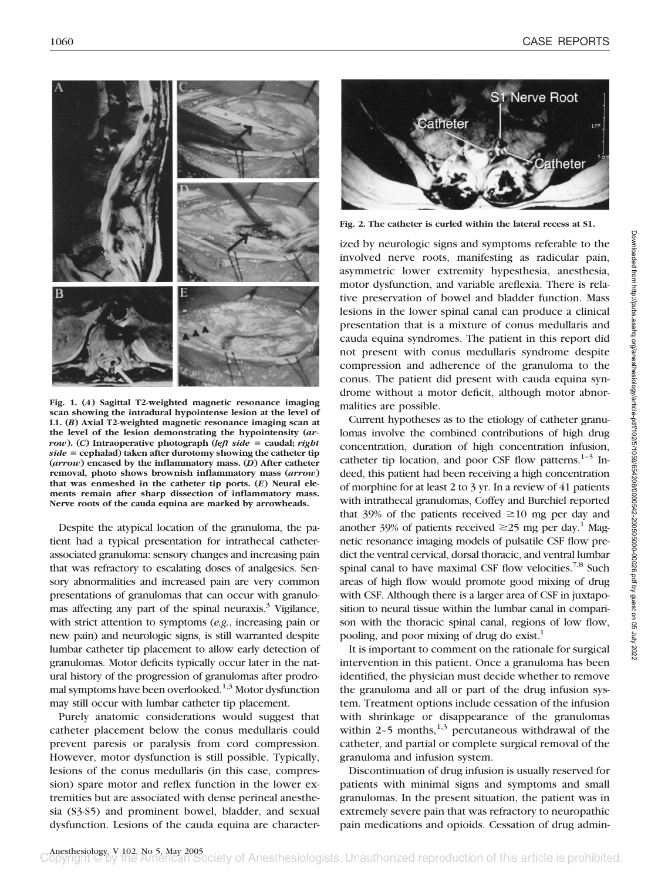

**Fig. 1. (***A***) Sagittal T2-weighted magnetic resonance imaging scan showing the intradural hypointense lesion at the level of L1. (***B***) Axial T2-weighted magnetic resonance imaging scan at the level of the lesion demonstrating the hypointensity (***arrow***). (***C***) Intraoperative photograph (***left side* **caudal;** *right side* **cephalad) taken after durotomy showing the catheter tip (***arrow***) encased by the inflammatory mass. (***D***) After catheter removal, photo shows brownish inflammatory mass (***arrow***) that was enmeshed in the catheter tip ports. (***E***) Neural elements remain after sharp dissection of inflammatory mass. Nerve roots of the cauda equina are marked by arrowheads.**

Despite the atypical location of the granuloma, the patient had a typical presentation for intrathecal catheterassociated granuloma: sensory changes and increasing pain that was refractory to escalating doses of analgesics. Sensory abnormalities and increased pain are very common presentations of granulomas that can occur with granulomas affecting any part of the spinal neuraxis.<sup>3</sup> Vigilance, with strict attention to symptoms (*e.g.*, increasing pain or new pain) and neurologic signs, is still warranted despite lumbar catheter tip placement to allow early detection of granulomas. Motor deficits typically occur later in the natural history of the progression of granulomas after prodromal symptoms have been overlooked.<sup>1,3</sup> Motor dysfunction may still occur with lumbar catheter tip placement.

Purely anatomic considerations would suggest that catheter placement below the conus medullaris could prevent paresis or paralysis from cord compression. However, motor dysfunction is still possible. Typically, lesions of the conus medullaris (in this case, compression) spare motor and reflex function in the lower extremities but are associated with dense perineal anesthesia (S3-S5) and prominent bowel, bladder, and sexual dysfunction. Lesions of the cauda equina are character-



**Fig. 2. The catheter is curled within the lateral recess at S1.**

ized by neurologic signs and symptoms referable to the involved nerve roots, manifesting as radicular pain, asymmetric lower extremity hypesthesia, anesthesia, motor dysfunction, and variable areflexia. There is relative preservation of bowel and bladder function. Mass lesions in the lower spinal canal can produce a clinical presentation that is a mixture of conus medullaris and cauda equina syndromes. The patient in this report did not present with conus medullaris syndrome despite compression and adherence of the granuloma to the conus. The patient did present with cauda equina syndrome without a motor deficit, although motor abnormalities are possible.

Current hypotheses as to the etiology of catheter granulomas involve the combined contributions of high drug concentration, duration of high concentration infusion, catheter tip location, and poor CSF flow patterns. $1-3$  Indeed, this patient had been receiving a high concentration of morphine for at least 2 to 3 yr. In a review of 41 patients with intrathecal granulomas, Coffey and Burchiel reported that 39% of the patients received  $\geq 10$  mg per day and another 39% of patients received  $\geq$ 25 mg per day.<sup>1</sup> Magnetic resonance imaging models of pulsatile CSF flow predict the ventral cervical, dorsal thoracic, and ventral lumbar spinal canal to have maximal CSF flow velocities.<sup>7,8</sup> Such areas of high flow would promote good mixing of drug with CSF. Although there is a larger area of CSF in juxtaposition to neural tissue within the lumbar canal in comparison with the thoracic spinal canal, regions of low flow, pooling, and poor mixing of drug do  $exist.^1$ 

It is important to comment on the rationale for surgical intervention in this patient. Once a granuloma has been identified, the physician must decide whether to remove the granuloma and all or part of the drug infusion system. Treatment options include cessation of the infusion with shrinkage or disappearance of the granulomas within 2–5 months,  $1,3$  percutaneous withdrawal of the catheter, and partial or complete surgical removal of the granuloma and infusion system.

Discontinuation of drug infusion is usually reserved for patients with minimal signs and symptoms and small granulomas. In the present situation, the patient was in extremely severe pain that was refractory to neuropathic pain medications and opioids. Cessation of drug admin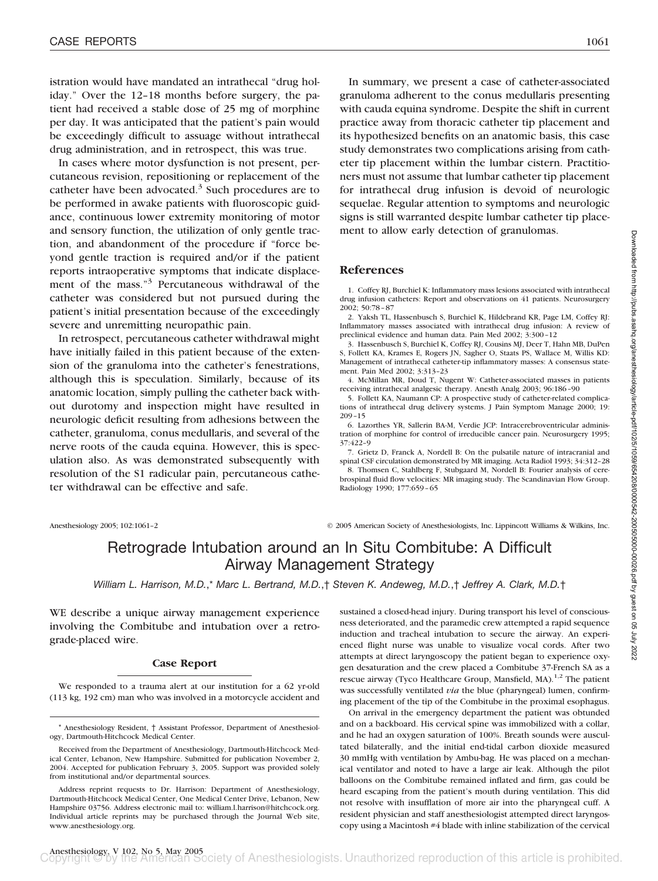istration would have mandated an intrathecal "drug holiday." Over the 12–18 months before surgery, the patient had received a stable dose of 25 mg of morphine per day. It was anticipated that the patient's pain would be exceedingly difficult to assuage without intrathecal drug administration, and in retrospect, this was true.

In cases where motor dysfunction is not present, percutaneous revision, repositioning or replacement of the catheter have been advocated. $3$  Such procedures are to be performed in awake patients with fluoroscopic guidance, continuous lower extremity monitoring of motor and sensory function, the utilization of only gentle traction, and abandonment of the procedure if "force beyond gentle traction is required and/or if the patient reports intraoperative symptoms that indicate displacement of the mass."3 Percutaneous withdrawal of the catheter was considered but not pursued during the patient's initial presentation because of the exceedingly severe and unremitting neuropathic pain.

In retrospect, percutaneous catheter withdrawal might have initially failed in this patient because of the extension of the granuloma into the catheter's fenestrations, although this is speculation. Similarly, because of its anatomic location, simply pulling the catheter back without durotomy and inspection might have resulted in neurologic deficit resulting from adhesions between the catheter, granuloma, conus medullaris, and several of the nerve roots of the cauda equina. However, this is speculation also. As was demonstrated subsequently with resolution of the S1 radicular pain, percutaneous catheter withdrawal can be effective and safe.

In summary, we present a case of catheter-associated granuloma adherent to the conus medullaris presenting with cauda equina syndrome. Despite the shift in current practice away from thoracic catheter tip placement and its hypothesized benefits on an anatomic basis, this case study demonstrates two complications arising from catheter tip placement within the lumbar cistern. Practitioners must not assume that lumbar catheter tip placement for intrathecal drug infusion is devoid of neurologic sequelae. Regular attention to symptoms and neurologic signs is still warranted despite lumbar catheter tip placement to allow early detection of granulomas.

### **References**

1. Coffey RJ, Burchiel K: Inflammatory mass lesions associated with intrathecal drug infusion catheters: Report and observations on 41 patients. Neurosurgery 2002; 50:78–87

2. Yaksh TL, Hassenbusch S, Burchiel K, Hildebrand KR, Page LM, Coffey RJ: Inflammatory masses associated with intrathecal drug infusion: A review of preclinical evidence and human data. Pain Med 2002; 3:300–12

3. Hassenbusch S, Burchiel K, Coffey RJ, Cousins MJ, Deer T, Hahn MB, DuPen S, Follett KA, Krames E, Rogers JN, Sagher O, Staats PS, Wallace M, Willis KD: Management of intrathecal catheter-tip inflammatory masses: A consensus statement. Pain Med 2002; 3:313–23

4. McMillan MR, Doud T, Nugent W: Catheter-associated masses in patients receiving intrathecal analgesic therapy. Anesth Analg 2003; 96:186–90

5. Follett KA, Naumann CP: A prospective study of catheter-related complications of intrathecal drug delivery systems. J Pain Symptom Manage 2000; 19: 209–15

6. Lazorthes YR, Sallerin BA-M, Verdie JCP: Intracerebroventricular administration of morphine for control of irreducible cancer pain. Neurosurgery 1995; 37:422–9

7. Grietz D, Franck A, Nordell B: On the pulsatile nature of intracranial and spinal CSF circulation demonstrated by MR imaging. Acta Radiol 1993; 34:312–28

8. Thomsen C, Stahlberg F, Stubgaard M, Nordell B: Fourier analysis of cerebrospinal fluid flow velocities: MR imaging study. The Scandinavian Flow Group. Radiology 1990; 177:659–65

Anesthesiology 2005; 102:1061–2 © 2005 American Society of Anesthesiologists, Inc. Lippincott Williams & Wilkins, Inc.

# Retrograde Intubation around an In Situ Combitube: A Difficult Airway Management Strategy

*William L. Harrison, M.D.*,\* *Marc L. Bertrand, M.D.*,† *Steven K. Andeweg, M.D.*,† *Jeffrey A. Clark, M.D.*†

WE describe a unique airway management experience involving the Combitube and intubation over a retrograde-placed wire.

#### **Case Report**

We responded to a trauma alert at our institution for a 62 yr-old (113 kg, 192 cm) man who was involved in a motorcycle accident and sustained a closed-head injury. During transport his level of consciousness deteriorated, and the paramedic crew attempted a rapid sequence induction and tracheal intubation to secure the airway. An experienced flight nurse was unable to visualize vocal cords. After two attempts at direct laryngoscopy the patient began to experience oxygen desaturation and the crew placed a Combitube 37-French SA as a rescue airway (Tyco Healthcare Group, Mansfield, MA).<sup>1,2</sup> The patient was successfully ventilated *via* the blue (pharyngeal) lumen, confirming placement of the tip of the Combitube in the proximal esophagus.

On arrival in the emergency department the patient was obtunded and on a backboard. His cervical spine was immobilized with a collar, and he had an oxygen saturation of 100%. Breath sounds were auscultated bilaterally, and the initial end-tidal carbon dioxide measured 30 mmHg with ventilation by Ambu-bag. He was placed on a mechanical ventilator and noted to have a large air leak. Although the pilot balloons on the Combitube remained inflated and firm, gas could be heard escaping from the patient's mouth during ventilation. This did not resolve with insufflation of more air into the pharyngeal cuff. A resident physician and staff anesthesiologist attempted direct laryngoscopy using a Macintosh #4 blade with inline stabilization of the cervical

<sup>\*</sup> Anesthesiology Resident, † Assistant Professor, Department of Anesthesiology, Dartmouth-Hitchcock Medical Center.

Received from the Department of Anesthesiology, Dartmouth-Hitchcock Medical Center, Lebanon, New Hampshire. Submitted for publication November 2, 2004. Accepted for publication February 3, 2005. Support was provided solely from institutional and/or departmental sources.

Address reprint requests to Dr. Harrison: Department of Anesthesiology, Dartmouth-Hitchcock Medical Center, One Medical Center Drive, Lebanon, New Hampshire 03756. Address electronic mail to: william.l.harrison@hitchcock.org. Individual article reprints may be purchased through the Journal Web site, www.anesthesiology.org.